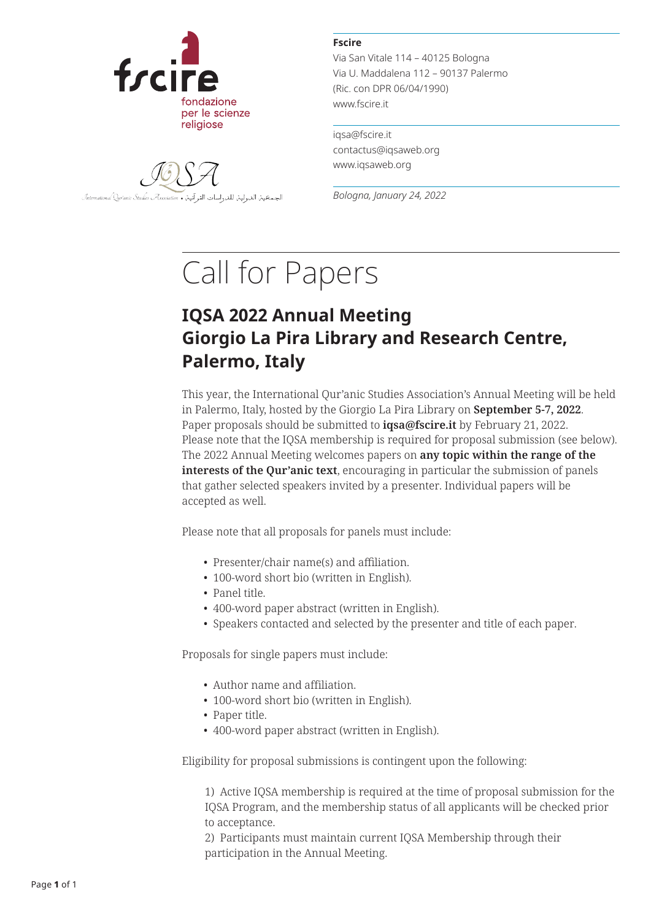

الجمحية الدولية للدراسات القرآنية International Qur'anic Studies Association .

**Fscire**

Via San Vitale 114 – 40125 Bologna Via U. Maddalena 112 – 90137 Palermo (Ric. con DPR 06/04/1990) www.fscire.it

iqsa@fscire.it contactus@iqsaweb.org www.iqsaweb.org

*Bologna, January 24, 2022*

## Call for Papers

## **IQSA 2022 Annual Meeting Giorgio La Pira Library and Research Centre, Palermo, Italy**

This year, the International Qur'anic Studies Association's Annual Meeting will be held in Palermo, Italy, hosted by the Giorgio La Pira Library on **September 5-7, 2022**. Paper proposals should be submitted to **iqsa@fscire.it** by February 21, 2022. Please note that the IQSA membership is required for proposal submission (see below). The 2022 Annual Meeting welcomes papers on **any topic within the range of the interests of the Qur'anic text**, encouraging in particular the submission of panels that gather selected speakers invited by a presenter. Individual papers will be accepted as well.

Please note that all proposals for panels must include:

- Presenter/chair name(s) and affiliation.
- 100-word short bio (written in English).
- Panel title.
- 400-word paper abstract (written in English).
- Speakers contacted and selected by the presenter and title of each paper.

Proposals for single papers must include:

- Author name and affiliation.
- 100-word short bio (written in English).
- Paper title.
- 400-word paper abstract (written in English).

Eligibility for proposal submissions is contingent upon the following:

 1) Active IQSA membership is required at the time of proposal submission for the IQSA Program, and the membership status of all applicants will be checked prior to acceptance.

 2) Participants must maintain current IQSA Membership through their participation in the Annual Meeting.